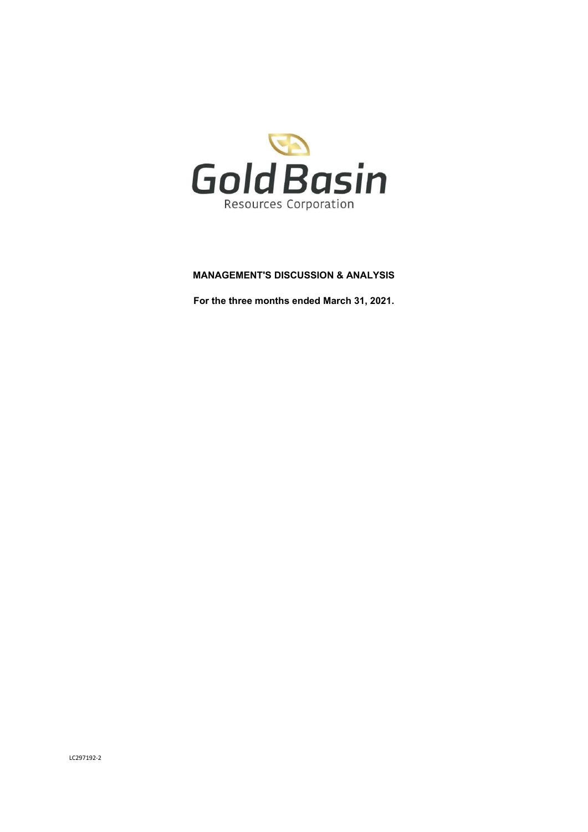

# **MANAGEMENT'S DISCUSSION & ANALYSIS**

**For the three months ended March 31, 2021.**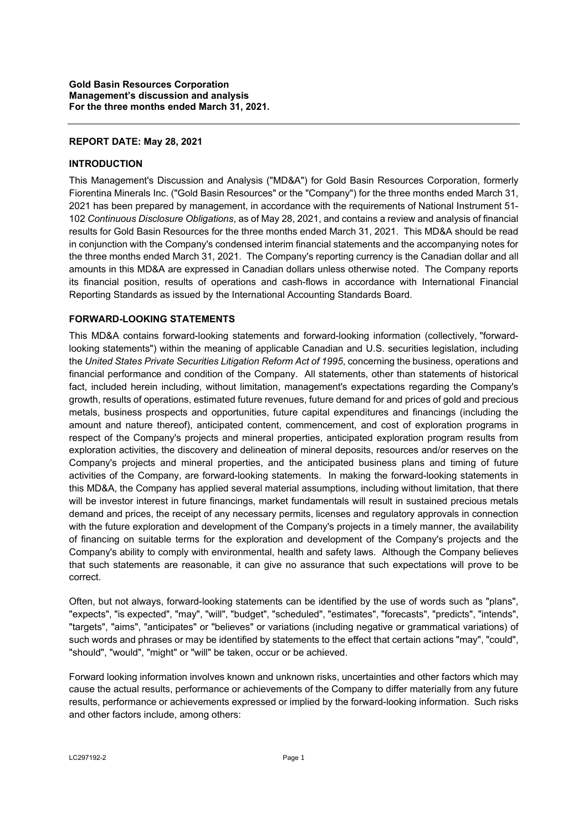### **REPORT DATE: May 28, 2021**

## **INTRODUCTION**

This Management's Discussion and Analysis ("MD&A") for Gold Basin Resources Corporation, formerly Fiorentina Minerals Inc. ("Gold Basin Resources" or the "Company") for the three months ended March 31, 2021 has been prepared by management, in accordance with the requirements of National Instrument 51- 102 *Continuous Disclosure Obligations*, as of May 28, 2021, and contains a review and analysis of financial results for Gold Basin Resources for the three months ended March 31, 2021. This MD&A should be read in conjunction with the Company's condensed interim financial statements and the accompanying notes for the three months ended March 31, 2021. The Company's reporting currency is the Canadian dollar and all amounts in this MD&A are expressed in Canadian dollars unless otherwise noted. The Company reports its financial position, results of operations and cash-flows in accordance with International Financial Reporting Standards as issued by the International Accounting Standards Board.

# **FORWARD-LOOKING STATEMENTS**

This MD&A contains forward-looking statements and forward-looking information (collectively, "forwardlooking statements") within the meaning of applicable Canadian and U.S. securities legislation, including the *United States Private Securities Litigation Reform Act of 1995*, concerning the business, operations and financial performance and condition of the Company. All statements, other than statements of historical fact, included herein including, without limitation, management's expectations regarding the Company's growth, results of operations, estimated future revenues, future demand for and prices of gold and precious metals, business prospects and opportunities, future capital expenditures and financings (including the amount and nature thereof), anticipated content, commencement, and cost of exploration programs in respect of the Company's projects and mineral properties, anticipated exploration program results from exploration activities, the discovery and delineation of mineral deposits, resources and/or reserves on the Company's projects and mineral properties, and the anticipated business plans and timing of future activities of the Company, are forward-looking statements. In making the forward-looking statements in this MD&A, the Company has applied several material assumptions, including without limitation, that there will be investor interest in future financings, market fundamentals will result in sustained precious metals demand and prices, the receipt of any necessary permits, licenses and regulatory approvals in connection with the future exploration and development of the Company's projects in a timely manner, the availability of financing on suitable terms for the exploration and development of the Company's projects and the Company's ability to comply with environmental, health and safety laws. Although the Company believes that such statements are reasonable, it can give no assurance that such expectations will prove to be correct.

Often, but not always, forward-looking statements can be identified by the use of words such as "plans", "expects", "is expected", "may", "will", "budget", "scheduled", "estimates", "forecasts", "predicts", "intends", "targets", "aims", "anticipates" or "believes" or variations (including negative or grammatical variations) of such words and phrases or may be identified by statements to the effect that certain actions "may", "could", "should", "would", "might" or "will" be taken, occur or be achieved.

Forward looking information involves known and unknown risks, uncertainties and other factors which may cause the actual results, performance or achievements of the Company to differ materially from any future results, performance or achievements expressed or implied by the forward-looking information. Such risks and other factors include, among others: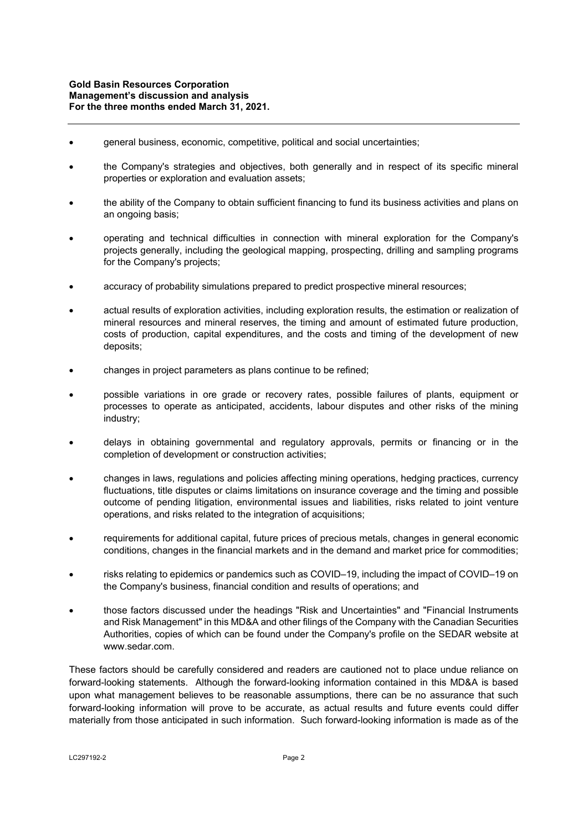- general business, economic, competitive, political and social uncertainties;
- the Company's strategies and objectives, both generally and in respect of its specific mineral properties or exploration and evaluation assets;
- the ability of the Company to obtain sufficient financing to fund its business activities and plans on an ongoing basis;
- operating and technical difficulties in connection with mineral exploration for the Company's projects generally, including the geological mapping, prospecting, drilling and sampling programs for the Company's projects;
- accuracy of probability simulations prepared to predict prospective mineral resources;
- actual results of exploration activities, including exploration results, the estimation or realization of mineral resources and mineral reserves, the timing and amount of estimated future production, costs of production, capital expenditures, and the costs and timing of the development of new deposits;
- changes in project parameters as plans continue to be refined;
- possible variations in ore grade or recovery rates, possible failures of plants, equipment or processes to operate as anticipated, accidents, labour disputes and other risks of the mining industry;
- delays in obtaining governmental and regulatory approvals, permits or financing or in the completion of development or construction activities;
- changes in laws, regulations and policies affecting mining operations, hedging practices, currency fluctuations, title disputes or claims limitations on insurance coverage and the timing and possible outcome of pending litigation, environmental issues and liabilities, risks related to joint venture operations, and risks related to the integration of acquisitions;
- requirements for additional capital, future prices of precious metals, changes in general economic conditions, changes in the financial markets and in the demand and market price for commodities;
- risks relating to epidemics or pandemics such as COVID–19, including the impact of COVID–19 on the Company's business, financial condition and results of operations; and
- those factors discussed under the headings "Risk and Uncertainties" and "Financial Instruments and Risk Management" in this MD&A and other filings of the Company with the Canadian Securities Authorities, copies of which can be found under the Company's profile on the SEDAR website at www.sedar.com.

These factors should be carefully considered and readers are cautioned not to place undue reliance on forward-looking statements. Although the forward-looking information contained in this MD&A is based upon what management believes to be reasonable assumptions, there can be no assurance that such forward-looking information will prove to be accurate, as actual results and future events could differ materially from those anticipated in such information. Such forward-looking information is made as of the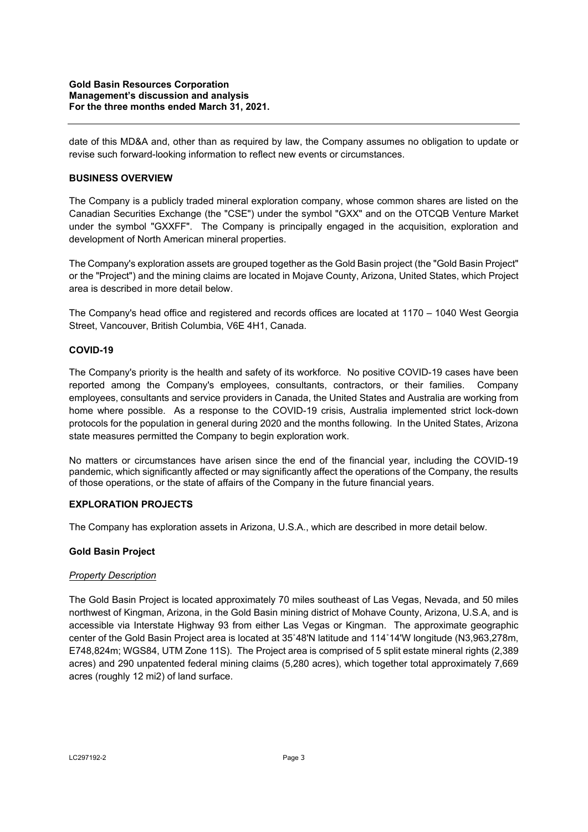date of this MD&A and, other than as required by law, the Company assumes no obligation to update or revise such forward-looking information to reflect new events or circumstances.

## **BUSINESS OVERVIEW**

The Company is a publicly traded mineral exploration company, whose common shares are listed on the Canadian Securities Exchange (the "CSE") under the symbol "GXX" and on the OTCQB Venture Market under the symbol "GXXFF". The Company is principally engaged in the acquisition, exploration and development of North American mineral properties.

The Company's exploration assets are grouped together as the Gold Basin project (the "Gold Basin Project" or the "Project") and the mining claims are located in Mojave County, Arizona, United States, which Project area is described in more detail below.

The Company's head office and registered and records offices are located at 1170 – 1040 West Georgia Street, Vancouver, British Columbia, V6E 4H1, Canada.

### **COVID-19**

The Company's priority is the health and safety of its workforce. No positive COVID-19 cases have been reported among the Company's employees, consultants, contractors, or their families. Company employees, consultants and service providers in Canada, the United States and Australia are working from home where possible. As a response to the COVID-19 crisis, Australia implemented strict lock-down protocols for the population in general during 2020 and the months following. In the United States, Arizona state measures permitted the Company to begin exploration work.

No matters or circumstances have arisen since the end of the financial year, including the COVID-19 pandemic, which significantly affected or may significantly affect the operations of the Company, the results of those operations, or the state of affairs of the Company in the future financial years.

### **EXPLORATION PROJECTS**

The Company has exploration assets in Arizona, U.S.A., which are described in more detail below.

### **Gold Basin Project**

### *Property Description*

The Gold Basin Project is located approximately 70 miles southeast of Las Vegas, Nevada, and 50 miles northwest of Kingman, Arizona, in the Gold Basin mining district of Mohave County, Arizona, U.S.A, and is accessible via Interstate Highway 93 from either Las Vegas or Kingman. The approximate geographic center of the Gold Basin Project area is located at 35˚48'N latitude and 114˚14'W longitude (N3,963,278m, E748,824m; WGS84, UTM Zone 11S). The Project area is comprised of 5 split estate mineral rights (2,389 acres) and 290 unpatented federal mining claims (5,280 acres), which together total approximately 7,669 acres (roughly 12 mi2) of land surface.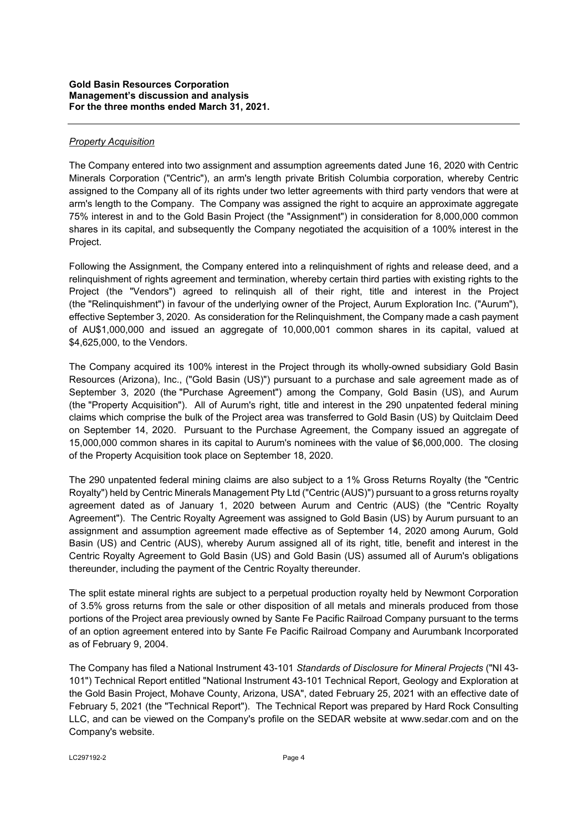## *Property Acquisition*

The Company entered into two assignment and assumption agreements dated June 16, 2020 with Centric Minerals Corporation ("Centric"), an arm's length private British Columbia corporation, whereby Centric assigned to the Company all of its rights under two letter agreements with third party vendors that were at arm's length to the Company. The Company was assigned the right to acquire an approximate aggregate 75% interest in and to the Gold Basin Project (the "Assignment") in consideration for 8,000,000 common shares in its capital, and subsequently the Company negotiated the acquisition of a 100% interest in the Project.

Following the Assignment, the Company entered into a relinquishment of rights and release deed, and a relinquishment of rights agreement and termination, whereby certain third parties with existing rights to the Project (the "Vendors") agreed to relinquish all of their right, title and interest in the Project (the "Relinquishment") in favour of the underlying owner of the Project, Aurum Exploration Inc. ("Aurum"), effective September 3, 2020. As consideration for the Relinquishment, the Company made a cash payment of AU\$1,000,000 and issued an aggregate of 10,000,001 common shares in its capital, valued at \$4,625,000, to the Vendors.

The Company acquired its 100% interest in the Project through its wholly-owned subsidiary Gold Basin Resources (Arizona), Inc., ("Gold Basin (US)") pursuant to a purchase and sale agreement made as of September 3, 2020 (the "Purchase Agreement") among the Company, Gold Basin (US), and Aurum (the "Property Acquisition"). All of Aurum's right, title and interest in the 290 unpatented federal mining claims which comprise the bulk of the Project area was transferred to Gold Basin (US) by Quitclaim Deed on September 14, 2020. Pursuant to the Purchase Agreement, the Company issued an aggregate of 15,000,000 common shares in its capital to Aurum's nominees with the value of \$6,000,000. The closing of the Property Acquisition took place on September 18, 2020.

The 290 unpatented federal mining claims are also subject to a 1% Gross Returns Royalty (the "Centric Royalty") held by Centric Minerals Management Pty Ltd ("Centric (AUS)") pursuant to a gross returns royalty agreement dated as of January 1, 2020 between Aurum and Centric (AUS) (the "Centric Royalty Agreement"). The Centric Royalty Agreement was assigned to Gold Basin (US) by Aurum pursuant to an assignment and assumption agreement made effective as of September 14, 2020 among Aurum, Gold Basin (US) and Centric (AUS), whereby Aurum assigned all of its right, title, benefit and interest in the Centric Royalty Agreement to Gold Basin (US) and Gold Basin (US) assumed all of Aurum's obligations thereunder, including the payment of the Centric Royalty thereunder.

The split estate mineral rights are subject to a perpetual production royalty held by Newmont Corporation of 3.5% gross returns from the sale or other disposition of all metals and minerals produced from those portions of the Project area previously owned by Sante Fe Pacific Railroad Company pursuant to the terms of an option agreement entered into by Sante Fe Pacific Railroad Company and Aurumbank Incorporated as of February 9, 2004.

The Company has filed a National Instrument 43-101 *Standards of Disclosure for Mineral Projects* ("NI 43- 101") Technical Report entitled "National Instrument 43-101 Technical Report, Geology and Exploration at the Gold Basin Project, Mohave County, Arizona, USA", dated February 25, 2021 with an effective date of February 5, 2021 (the "Technical Report"). The Technical Report was prepared by Hard Rock Consulting LLC, and can be viewed on the Company's profile on the SEDAR website at www.sedar.com and on the Company's website.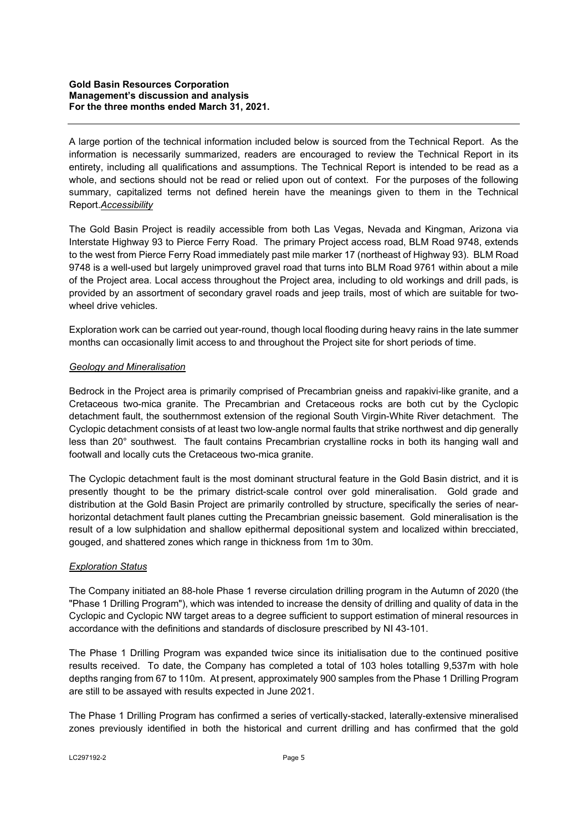A large portion of the technical information included below is sourced from the Technical Report. As the information is necessarily summarized, readers are encouraged to review the Technical Report in its entirety, including all qualifications and assumptions. The Technical Report is intended to be read as a whole, and sections should not be read or relied upon out of context. For the purposes of the following summary, capitalized terms not defined herein have the meanings given to them in the Technical Report.*Accessibility* 

The Gold Basin Project is readily accessible from both Las Vegas, Nevada and Kingman, Arizona via Interstate Highway 93 to Pierce Ferry Road. The primary Project access road, BLM Road 9748, extends to the west from Pierce Ferry Road immediately past mile marker 17 (northeast of Highway 93). BLM Road 9748 is a well-used but largely unimproved gravel road that turns into BLM Road 9761 within about a mile of the Project area. Local access throughout the Project area, including to old workings and drill pads, is provided by an assortment of secondary gravel roads and jeep trails, most of which are suitable for twowheel drive vehicles.

Exploration work can be carried out year-round, though local flooding during heavy rains in the late summer months can occasionally limit access to and throughout the Project site for short periods of time.

## *Geology and Mineralisation*

Bedrock in the Project area is primarily comprised of Precambrian gneiss and rapakivi-like granite, and a Cretaceous two-mica granite. The Precambrian and Cretaceous rocks are both cut by the Cyclopic detachment fault, the southernmost extension of the regional South Virgin-White River detachment. The Cyclopic detachment consists of at least two low-angle normal faults that strike northwest and dip generally less than 20° southwest. The fault contains Precambrian crystalline rocks in both its hanging wall and footwall and locally cuts the Cretaceous two-mica granite.

The Cyclopic detachment fault is the most dominant structural feature in the Gold Basin district, and it is presently thought to be the primary district-scale control over gold mineralisation. Gold grade and distribution at the Gold Basin Project are primarily controlled by structure, specifically the series of nearhorizontal detachment fault planes cutting the Precambrian gneissic basement. Gold mineralisation is the result of a low sulphidation and shallow epithermal depositional system and localized within brecciated, gouged, and shattered zones which range in thickness from 1m to 30m.

### *Exploration Status*

The Company initiated an 88-hole Phase 1 reverse circulation drilling program in the Autumn of 2020 (the "Phase 1 Drilling Program"), which was intended to increase the density of drilling and quality of data in the Cyclopic and Cyclopic NW target areas to a degree sufficient to support estimation of mineral resources in accordance with the definitions and standards of disclosure prescribed by NI 43-101.

The Phase 1 Drilling Program was expanded twice since its initialisation due to the continued positive results received. To date, the Company has completed a total of 103 holes totalling 9,537m with hole depths ranging from 67 to 110m. At present, approximately 900 samples from the Phase 1 Drilling Program are still to be assayed with results expected in June 2021.

The Phase 1 Drilling Program has confirmed a series of vertically-stacked, laterally-extensive mineralised zones previously identified in both the historical and current drilling and has confirmed that the gold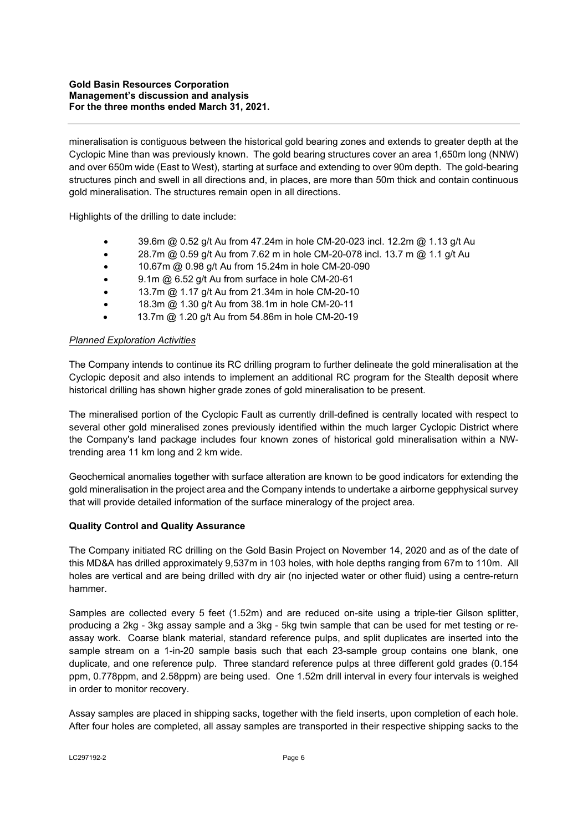### **Gold Basin Resources Corporation Management's discussion and analysis For the three months ended March 31, 2021.**

mineralisation is contiguous between the historical gold bearing zones and extends to greater depth at the Cyclopic Mine than was previously known. The gold bearing structures cover an area 1,650m long (NNW) and over 650m wide (East to West), starting at surface and extending to over 90m depth. The gold-bearing structures pinch and swell in all directions and, in places, are more than 50m thick and contain continuous gold mineralisation. The structures remain open in all directions.

Highlights of the drilling to date include:

- 39.6m @ 0.52 g/t Au from 47.24m in hole CM-20-023 incl. 12.2m @ 1.13 g/t Au
- **28.7m @ 0.59 g/t Au from 7.62 m in hole CM-20-078 incl. 13.7 m @ 1.1 g/t Au**
- 10.67m @ 0.98 g/t Au from 15.24m in hole CM-20-090
- 9.1m @ 6.52 g/t Au from surface in hole CM-20-61
- 13.7m @ 1.17 g/t Au from 21.34m in hole CM-20-10
- 18.3m @ 1.30 g/t Au from 38.1m in hole CM-20-11
- 13.7m @ 1.20 g/t Au from 54.86m in hole CM-20-19

### *Planned Exploration Activities*

The Company intends to continue its RC drilling program to further delineate the gold mineralisation at the Cyclopic deposit and also intends to implement an additional RC program for the Stealth deposit where historical drilling has shown higher grade zones of gold mineralisation to be present.

The mineralised portion of the Cyclopic Fault as currently drill-defined is centrally located with respect to several other gold mineralised zones previously identified within the much larger Cyclopic District where the Company's land package includes four known zones of historical gold mineralisation within a NWtrending area 11 km long and 2 km wide.

Geochemical anomalies together with surface alteration are known to be good indicators for extending the gold mineralisation in the project area and the Company intends to undertake a airborne gepphysical survey that will provide detailed information of the surface mineralogy of the project area.

### **Quality Control and Quality Assurance**

The Company initiated RC drilling on the Gold Basin Project on November 14, 2020 and as of the date of this MD&A has drilled approximately 9,537m in 103 holes, with hole depths ranging from 67m to 110m. All holes are vertical and are being drilled with dry air (no injected water or other fluid) using a centre-return hammer.

Samples are collected every 5 feet (1.52m) and are reduced on-site using a triple-tier Gilson splitter, producing a 2kg - 3kg assay sample and a 3kg - 5kg twin sample that can be used for met testing or reassay work. Coarse blank material, standard reference pulps, and split duplicates are inserted into the sample stream on a 1-in-20 sample basis such that each 23-sample group contains one blank, one duplicate, and one reference pulp. Three standard reference pulps at three different gold grades (0.154 ppm, 0.778ppm, and 2.58ppm) are being used. One 1.52m drill interval in every four intervals is weighed in order to monitor recovery.

Assay samples are placed in shipping sacks, together with the field inserts, upon completion of each hole. After four holes are completed, all assay samples are transported in their respective shipping sacks to the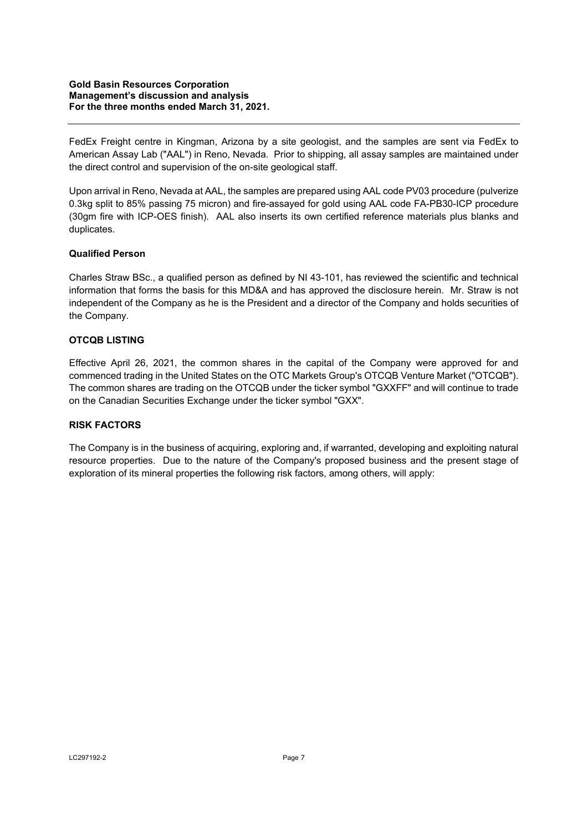FedEx Freight centre in Kingman, Arizona by a site geologist, and the samples are sent via FedEx to American Assay Lab ("AAL") in Reno, Nevada. Prior to shipping, all assay samples are maintained under the direct control and supervision of the on-site geological staff.

Upon arrival in Reno, Nevada at AAL, the samples are prepared using AAL code PV03 procedure (pulverize 0.3kg split to 85% passing 75 micron) and fire-assayed for gold using AAL code FA-PB30-ICP procedure (30gm fire with ICP-OES finish). AAL also inserts its own certified reference materials plus blanks and duplicates.

## **Qualified Person**

Charles Straw BSc., a qualified person as defined by NI 43-101, has reviewed the scientific and technical information that forms the basis for this MD&A and has approved the disclosure herein. Mr. Straw is not independent of the Company as he is the President and a director of the Company and holds securities of the Company.

# **OTCQB LISTING**

Effective April 26, 2021, the common shares in the capital of the Company were approved for and commenced trading in the United States on the OTC Markets Group's OTCQB Venture Market ("OTCQB"). The common shares are trading on the OTCQB under the ticker symbol "GXXFF" and will continue to trade on the Canadian Securities Exchange under the ticker symbol "GXX".

### **RISK FACTORS**

The Company is in the business of acquiring, exploring and, if warranted, developing and exploiting natural resource properties. Due to the nature of the Company's proposed business and the present stage of exploration of its mineral properties the following risk factors, among others, will apply: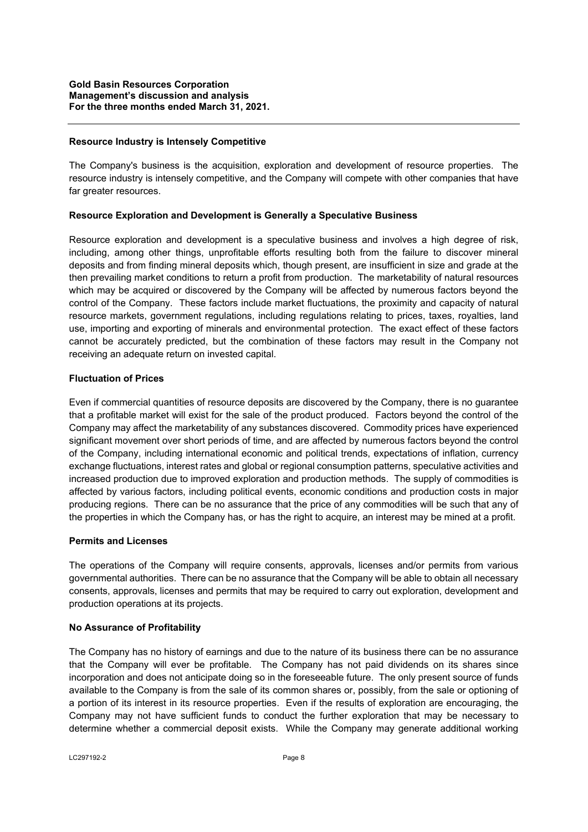#### **Resource Industry is Intensely Competitive**

The Company's business is the acquisition, exploration and development of resource properties. The resource industry is intensely competitive, and the Company will compete with other companies that have far greater resources.

### **Resource Exploration and Development is Generally a Speculative Business**

Resource exploration and development is a speculative business and involves a high degree of risk, including, among other things, unprofitable efforts resulting both from the failure to discover mineral deposits and from finding mineral deposits which, though present, are insufficient in size and grade at the then prevailing market conditions to return a profit from production. The marketability of natural resources which may be acquired or discovered by the Company will be affected by numerous factors beyond the control of the Company. These factors include market fluctuations, the proximity and capacity of natural resource markets, government regulations, including regulations relating to prices, taxes, royalties, land use, importing and exporting of minerals and environmental protection. The exact effect of these factors cannot be accurately predicted, but the combination of these factors may result in the Company not receiving an adequate return on invested capital.

#### **Fluctuation of Prices**

Even if commercial quantities of resource deposits are discovered by the Company, there is no guarantee that a profitable market will exist for the sale of the product produced. Factors beyond the control of the Company may affect the marketability of any substances discovered. Commodity prices have experienced significant movement over short periods of time, and are affected by numerous factors beyond the control of the Company, including international economic and political trends, expectations of inflation, currency exchange fluctuations, interest rates and global or regional consumption patterns, speculative activities and increased production due to improved exploration and production methods. The supply of commodities is affected by various factors, including political events, economic conditions and production costs in major producing regions. There can be no assurance that the price of any commodities will be such that any of the properties in which the Company has, or has the right to acquire, an interest may be mined at a profit.

#### **Permits and Licenses**

The operations of the Company will require consents, approvals, licenses and/or permits from various governmental authorities. There can be no assurance that the Company will be able to obtain all necessary consents, approvals, licenses and permits that may be required to carry out exploration, development and production operations at its projects.

#### **No Assurance of Profitability**

The Company has no history of earnings and due to the nature of its business there can be no assurance that the Company will ever be profitable. The Company has not paid dividends on its shares since incorporation and does not anticipate doing so in the foreseeable future. The only present source of funds available to the Company is from the sale of its common shares or, possibly, from the sale or optioning of a portion of its interest in its resource properties. Even if the results of exploration are encouraging, the Company may not have sufficient funds to conduct the further exploration that may be necessary to determine whether a commercial deposit exists. While the Company may generate additional working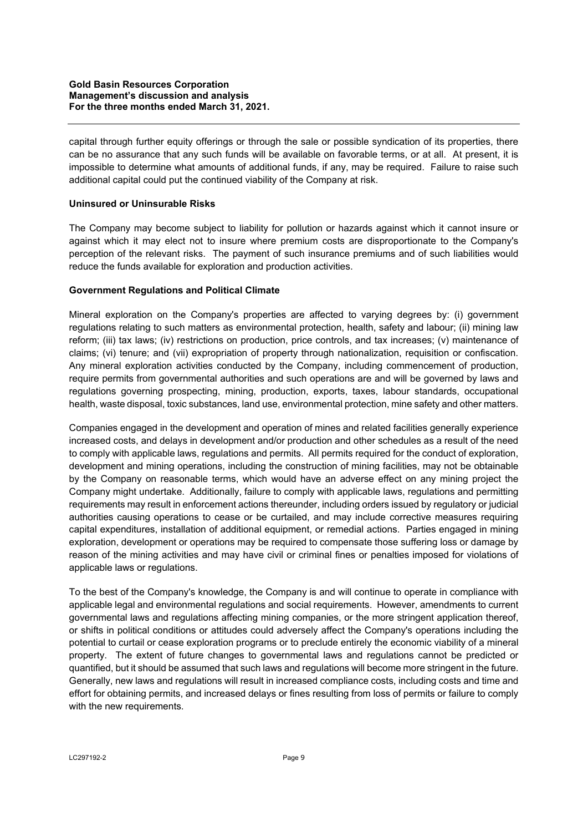capital through further equity offerings or through the sale or possible syndication of its properties, there can be no assurance that any such funds will be available on favorable terms, or at all. At present, it is impossible to determine what amounts of additional funds, if any, may be required. Failure to raise such additional capital could put the continued viability of the Company at risk.

## **Uninsured or Uninsurable Risks**

The Company may become subject to liability for pollution or hazards against which it cannot insure or against which it may elect not to insure where premium costs are disproportionate to the Company's perception of the relevant risks. The payment of such insurance premiums and of such liabilities would reduce the funds available for exploration and production activities.

## **Government Regulations and Political Climate**

Mineral exploration on the Company's properties are affected to varying degrees by: (i) government regulations relating to such matters as environmental protection, health, safety and labour; (ii) mining law reform; (iii) tax laws; (iv) restrictions on production, price controls, and tax increases; (v) maintenance of claims; (vi) tenure; and (vii) expropriation of property through nationalization, requisition or confiscation. Any mineral exploration activities conducted by the Company, including commencement of production, require permits from governmental authorities and such operations are and will be governed by laws and regulations governing prospecting, mining, production, exports, taxes, labour standards, occupational health, waste disposal, toxic substances, land use, environmental protection, mine safety and other matters.

Companies engaged in the development and operation of mines and related facilities generally experience increased costs, and delays in development and/or production and other schedules as a result of the need to comply with applicable laws, regulations and permits. All permits required for the conduct of exploration, development and mining operations, including the construction of mining facilities, may not be obtainable by the Company on reasonable terms, which would have an adverse effect on any mining project the Company might undertake. Additionally, failure to comply with applicable laws, regulations and permitting requirements may result in enforcement actions thereunder, including orders issued by regulatory or judicial authorities causing operations to cease or be curtailed, and may include corrective measures requiring capital expenditures, installation of additional equipment, or remedial actions. Parties engaged in mining exploration, development or operations may be required to compensate those suffering loss or damage by reason of the mining activities and may have civil or criminal fines or penalties imposed for violations of applicable laws or regulations.

To the best of the Company's knowledge, the Company is and will continue to operate in compliance with applicable legal and environmental regulations and social requirements. However, amendments to current governmental laws and regulations affecting mining companies, or the more stringent application thereof, or shifts in political conditions or attitudes could adversely affect the Company's operations including the potential to curtail or cease exploration programs or to preclude entirely the economic viability of a mineral property. The extent of future changes to governmental laws and regulations cannot be predicted or quantified, but it should be assumed that such laws and regulations will become more stringent in the future. Generally, new laws and regulations will result in increased compliance costs, including costs and time and effort for obtaining permits, and increased delays or fines resulting from loss of permits or failure to comply with the new requirements.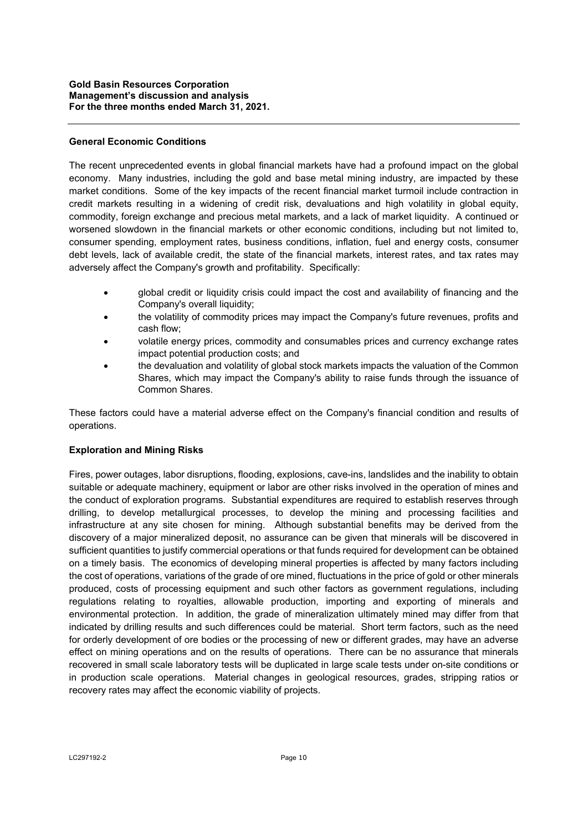## **General Economic Conditions**

The recent unprecedented events in global financial markets have had a profound impact on the global economy. Many industries, including the gold and base metal mining industry, are impacted by these market conditions. Some of the key impacts of the recent financial market turmoil include contraction in credit markets resulting in a widening of credit risk, devaluations and high volatility in global equity, commodity, foreign exchange and precious metal markets, and a lack of market liquidity. A continued or worsened slowdown in the financial markets or other economic conditions, including but not limited to, consumer spending, employment rates, business conditions, inflation, fuel and energy costs, consumer debt levels, lack of available credit, the state of the financial markets, interest rates, and tax rates may adversely affect the Company's growth and profitability. Specifically:

- global credit or liquidity crisis could impact the cost and availability of financing and the Company's overall liquidity;
- the volatility of commodity prices may impact the Company's future revenues, profits and cash flow;
- volatile energy prices, commodity and consumables prices and currency exchange rates impact potential production costs; and
- the devaluation and volatility of global stock markets impacts the valuation of the Common Shares, which may impact the Company's ability to raise funds through the issuance of Common Shares.

These factors could have a material adverse effect on the Company's financial condition and results of operations.

### **Exploration and Mining Risks**

Fires, power outages, labor disruptions, flooding, explosions, cave-ins, landslides and the inability to obtain suitable or adequate machinery, equipment or labor are other risks involved in the operation of mines and the conduct of exploration programs. Substantial expenditures are required to establish reserves through drilling, to develop metallurgical processes, to develop the mining and processing facilities and infrastructure at any site chosen for mining. Although substantial benefits may be derived from the discovery of a major mineralized deposit, no assurance can be given that minerals will be discovered in sufficient quantities to justify commercial operations or that funds required for development can be obtained on a timely basis. The economics of developing mineral properties is affected by many factors including the cost of operations, variations of the grade of ore mined, fluctuations in the price of gold or other minerals produced, costs of processing equipment and such other factors as government regulations, including regulations relating to royalties, allowable production, importing and exporting of minerals and environmental protection. In addition, the grade of mineralization ultimately mined may differ from that indicated by drilling results and such differences could be material. Short term factors, such as the need for orderly development of ore bodies or the processing of new or different grades, may have an adverse effect on mining operations and on the results of operations. There can be no assurance that minerals recovered in small scale laboratory tests will be duplicated in large scale tests under on-site conditions or in production scale operations. Material changes in geological resources, grades, stripping ratios or recovery rates may affect the economic viability of projects.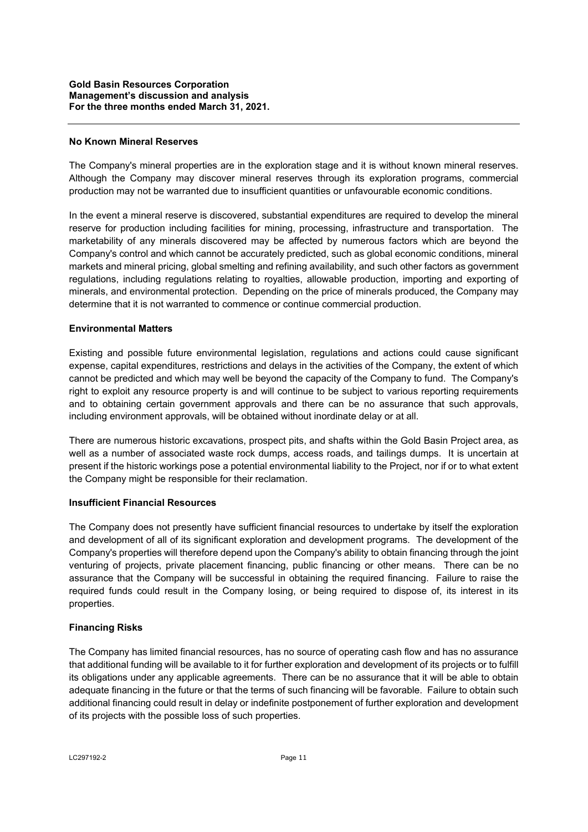### **No Known Mineral Reserves**

The Company's mineral properties are in the exploration stage and it is without known mineral reserves. Although the Company may discover mineral reserves through its exploration programs, commercial production may not be warranted due to insufficient quantities or unfavourable economic conditions.

In the event a mineral reserve is discovered, substantial expenditures are required to develop the mineral reserve for production including facilities for mining, processing, infrastructure and transportation. The marketability of any minerals discovered may be affected by numerous factors which are beyond the Company's control and which cannot be accurately predicted, such as global economic conditions, mineral markets and mineral pricing, global smelting and refining availability, and such other factors as government regulations, including regulations relating to royalties, allowable production, importing and exporting of minerals, and environmental protection. Depending on the price of minerals produced, the Company may determine that it is not warranted to commence or continue commercial production.

#### **Environmental Matters**

Existing and possible future environmental legislation, regulations and actions could cause significant expense, capital expenditures, restrictions and delays in the activities of the Company, the extent of which cannot be predicted and which may well be beyond the capacity of the Company to fund. The Company's right to exploit any resource property is and will continue to be subject to various reporting requirements and to obtaining certain government approvals and there can be no assurance that such approvals, including environment approvals, will be obtained without inordinate delay or at all.

There are numerous historic excavations, prospect pits, and shafts within the Gold Basin Project area, as well as a number of associated waste rock dumps, access roads, and tailings dumps. It is uncertain at present if the historic workings pose a potential environmental liability to the Project, nor if or to what extent the Company might be responsible for their reclamation.

### **Insufficient Financial Resources**

The Company does not presently have sufficient financial resources to undertake by itself the exploration and development of all of its significant exploration and development programs. The development of the Company's properties will therefore depend upon the Company's ability to obtain financing through the joint venturing of projects, private placement financing, public financing or other means. There can be no assurance that the Company will be successful in obtaining the required financing. Failure to raise the required funds could result in the Company losing, or being required to dispose of, its interest in its properties.

### **Financing Risks**

The Company has limited financial resources, has no source of operating cash flow and has no assurance that additional funding will be available to it for further exploration and development of its projects or to fulfill its obligations under any applicable agreements. There can be no assurance that it will be able to obtain adequate financing in the future or that the terms of such financing will be favorable. Failure to obtain such additional financing could result in delay or indefinite postponement of further exploration and development of its projects with the possible loss of such properties.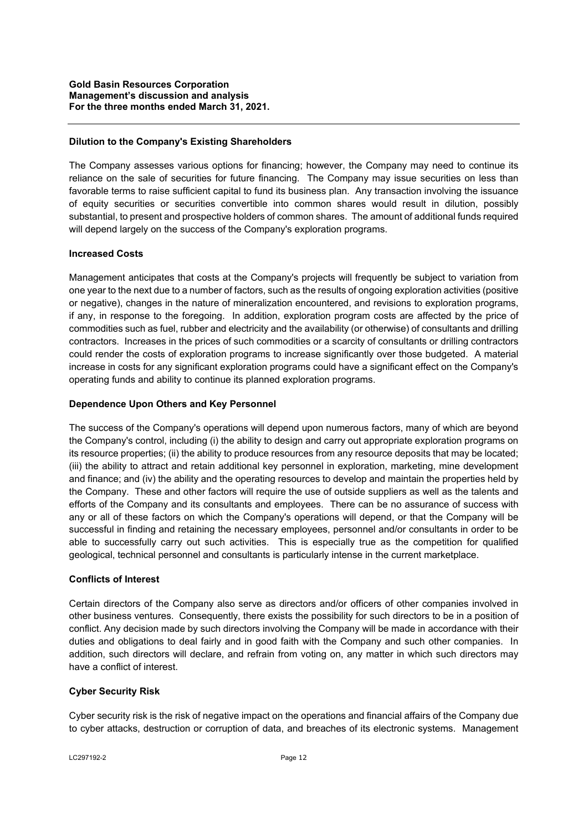### **Dilution to the Company's Existing Shareholders**

The Company assesses various options for financing; however, the Company may need to continue its reliance on the sale of securities for future financing. The Company may issue securities on less than favorable terms to raise sufficient capital to fund its business plan. Any transaction involving the issuance of equity securities or securities convertible into common shares would result in dilution, possibly substantial, to present and prospective holders of common shares. The amount of additional funds required will depend largely on the success of the Company's exploration programs.

## **Increased Costs**

Management anticipates that costs at the Company's projects will frequently be subject to variation from one year to the next due to a number of factors, such as the results of ongoing exploration activities (positive or negative), changes in the nature of mineralization encountered, and revisions to exploration programs, if any, in response to the foregoing. In addition, exploration program costs are affected by the price of commodities such as fuel, rubber and electricity and the availability (or otherwise) of consultants and drilling contractors. Increases in the prices of such commodities or a scarcity of consultants or drilling contractors could render the costs of exploration programs to increase significantly over those budgeted. A material increase in costs for any significant exploration programs could have a significant effect on the Company's operating funds and ability to continue its planned exploration programs.

## **Dependence Upon Others and Key Personnel**

The success of the Company's operations will depend upon numerous factors, many of which are beyond the Company's control, including (i) the ability to design and carry out appropriate exploration programs on its resource properties; (ii) the ability to produce resources from any resource deposits that may be located; (iii) the ability to attract and retain additional key personnel in exploration, marketing, mine development and finance; and (iv) the ability and the operating resources to develop and maintain the properties held by the Company. These and other factors will require the use of outside suppliers as well as the talents and efforts of the Company and its consultants and employees. There can be no assurance of success with any or all of these factors on which the Company's operations will depend, or that the Company will be successful in finding and retaining the necessary employees, personnel and/or consultants in order to be able to successfully carry out such activities. This is especially true as the competition for qualified geological, technical personnel and consultants is particularly intense in the current marketplace.

### **Conflicts of Interest**

Certain directors of the Company also serve as directors and/or officers of other companies involved in other business ventures. Consequently, there exists the possibility for such directors to be in a position of conflict. Any decision made by such directors involving the Company will be made in accordance with their duties and obligations to deal fairly and in good faith with the Company and such other companies. In addition, such directors will declare, and refrain from voting on, any matter in which such directors may have a conflict of interest.

# **Cyber Security Risk**

Cyber security risk is the risk of negative impact on the operations and financial affairs of the Company due to cyber attacks, destruction or corruption of data, and breaches of its electronic systems. Management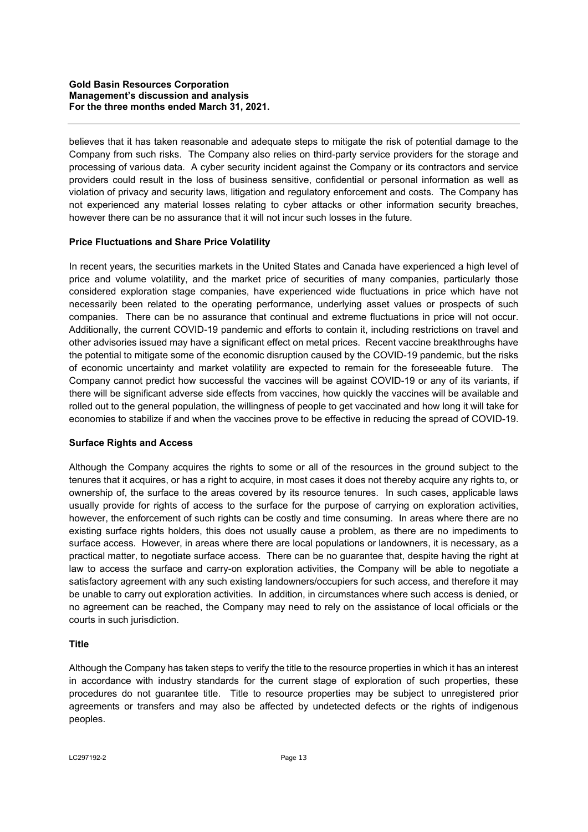believes that it has taken reasonable and adequate steps to mitigate the risk of potential damage to the Company from such risks. The Company also relies on third-party service providers for the storage and processing of various data. A cyber security incident against the Company or its contractors and service providers could result in the loss of business sensitive, confidential or personal information as well as violation of privacy and security laws, litigation and regulatory enforcement and costs. The Company has not experienced any material losses relating to cyber attacks or other information security breaches, however there can be no assurance that it will not incur such losses in the future.

## **Price Fluctuations and Share Price Volatility**

In recent years, the securities markets in the United States and Canada have experienced a high level of price and volume volatility, and the market price of securities of many companies, particularly those considered exploration stage companies, have experienced wide fluctuations in price which have not necessarily been related to the operating performance, underlying asset values or prospects of such companies. There can be no assurance that continual and extreme fluctuations in price will not occur. Additionally, the current COVID-19 pandemic and efforts to contain it, including restrictions on travel and other advisories issued may have a significant effect on metal prices. Recent vaccine breakthroughs have the potential to mitigate some of the economic disruption caused by the COVID-19 pandemic, but the risks of economic uncertainty and market volatility are expected to remain for the foreseeable future. The Company cannot predict how successful the vaccines will be against COVID-19 or any of its variants, if there will be significant adverse side effects from vaccines, how quickly the vaccines will be available and rolled out to the general population, the willingness of people to get vaccinated and how long it will take for economies to stabilize if and when the vaccines prove to be effective in reducing the spread of COVID-19.

### **Surface Rights and Access**

Although the Company acquires the rights to some or all of the resources in the ground subject to the tenures that it acquires, or has a right to acquire, in most cases it does not thereby acquire any rights to, or ownership of, the surface to the areas covered by its resource tenures. In such cases, applicable laws usually provide for rights of access to the surface for the purpose of carrying on exploration activities, however, the enforcement of such rights can be costly and time consuming. In areas where there are no existing surface rights holders, this does not usually cause a problem, as there are no impediments to surface access. However, in areas where there are local populations or landowners, it is necessary, as a practical matter, to negotiate surface access. There can be no guarantee that, despite having the right at law to access the surface and carry-on exploration activities, the Company will be able to negotiate a satisfactory agreement with any such existing landowners/occupiers for such access, and therefore it may be unable to carry out exploration activities. In addition, in circumstances where such access is denied, or no agreement can be reached, the Company may need to rely on the assistance of local officials or the courts in such jurisdiction.

### **Title**

Although the Company has taken steps to verify the title to the resource properties in which it has an interest in accordance with industry standards for the current stage of exploration of such properties, these procedures do not guarantee title. Title to resource properties may be subject to unregistered prior agreements or transfers and may also be affected by undetected defects or the rights of indigenous peoples.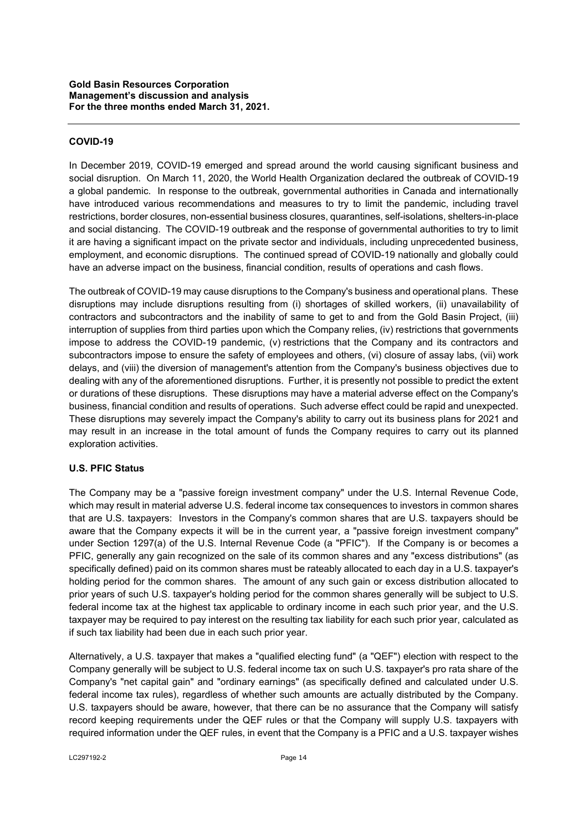## **COVID-19**

In December 2019, COVID-19 emerged and spread around the world causing significant business and social disruption. On March 11, 2020, the World Health Organization declared the outbreak of COVID-19 a global pandemic. In response to the outbreak, governmental authorities in Canada and internationally have introduced various recommendations and measures to try to limit the pandemic, including travel restrictions, border closures, non-essential business closures, quarantines, self-isolations, shelters-in-place and social distancing. The COVID-19 outbreak and the response of governmental authorities to try to limit it are having a significant impact on the private sector and individuals, including unprecedented business, employment, and economic disruptions. The continued spread of COVID-19 nationally and globally could have an adverse impact on the business, financial condition, results of operations and cash flows.

The outbreak of COVID-19 may cause disruptions to the Company's business and operational plans. These disruptions may include disruptions resulting from (i) shortages of skilled workers, (ii) unavailability of contractors and subcontractors and the inability of same to get to and from the Gold Basin Project, (iii) interruption of supplies from third parties upon which the Company relies, (iv) restrictions that governments impose to address the COVID-19 pandemic, (v) restrictions that the Company and its contractors and subcontractors impose to ensure the safety of employees and others, (vi) closure of assay labs, (vii) work delays, and (viii) the diversion of management's attention from the Company's business objectives due to dealing with any of the aforementioned disruptions. Further, it is presently not possible to predict the extent or durations of these disruptions. These disruptions may have a material adverse effect on the Company's business, financial condition and results of operations. Such adverse effect could be rapid and unexpected. These disruptions may severely impact the Company's ability to carry out its business plans for 2021 and may result in an increase in the total amount of funds the Company requires to carry out its planned exploration activities.

### **U.S. PFIC Status**

The Company may be a "passive foreign investment company" under the U.S. Internal Revenue Code, which may result in material adverse U.S. federal income tax consequences to investors in common shares that are U.S. taxpayers: Investors in the Company's common shares that are U.S. taxpayers should be aware that the Company expects it will be in the current year, a "passive foreign investment company" under Section 1297(a) of the U.S. Internal Revenue Code (a "PFIC"). If the Company is or becomes a PFIC, generally any gain recognized on the sale of its common shares and any "excess distributions" (as specifically defined) paid on its common shares must be rateably allocated to each day in a U.S. taxpayer's holding period for the common shares. The amount of any such gain or excess distribution allocated to prior years of such U.S. taxpayer's holding period for the common shares generally will be subject to U.S. federal income tax at the highest tax applicable to ordinary income in each such prior year, and the U.S. taxpayer may be required to pay interest on the resulting tax liability for each such prior year, calculated as if such tax liability had been due in each such prior year.

Alternatively, a U.S. taxpayer that makes a "qualified electing fund" (a "QEF") election with respect to the Company generally will be subject to U.S. federal income tax on such U.S. taxpayer's pro rata share of the Company's "net capital gain" and "ordinary earnings" (as specifically defined and calculated under U.S. federal income tax rules), regardless of whether such amounts are actually distributed by the Company. U.S. taxpayers should be aware, however, that there can be no assurance that the Company will satisfy record keeping requirements under the QEF rules or that the Company will supply U.S. taxpayers with required information under the QEF rules, in event that the Company is a PFIC and a U.S. taxpayer wishes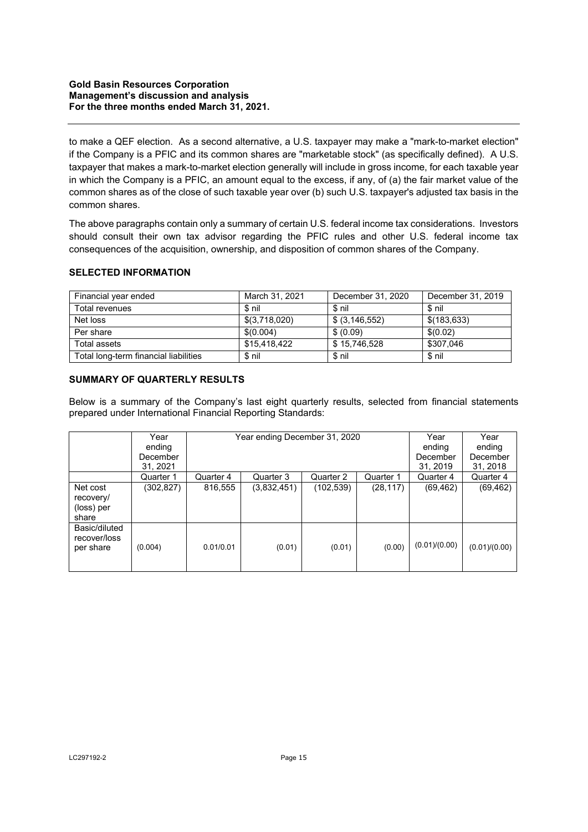to make a QEF election. As a second alternative, a U.S. taxpayer may make a "mark-to-market election" if the Company is a PFIC and its common shares are "marketable stock" (as specifically defined). A U.S. taxpayer that makes a mark-to-market election generally will include in gross income, for each taxable year in which the Company is a PFIC, an amount equal to the excess, if any, of (a) the fair market value of the common shares as of the close of such taxable year over (b) such U.S. taxpayer's adjusted tax basis in the common shares.

The above paragraphs contain only a summary of certain U.S. federal income tax considerations. Investors should consult their own tax advisor regarding the PFIC rules and other U.S. federal income tax consequences of the acquisition, ownership, and disposition of common shares of the Company.

## **SELECTED INFORMATION**

| Financial year ended                  | March 31, 2021 | December 31, 2020 | December 31, 2019 |
|---------------------------------------|----------------|-------------------|-------------------|
| Total revenues                        | \$ nil         | \$ nil            | \$ nil            |
| Net loss                              | \$(3,718,020)  | $$$ (3,146,552)   | \$(183,633)       |
| Per share                             | \$(0.004)      | \$ (0.09)         | \$(0.02)          |
| Total assets                          | \$15.418.422   | \$15.746.528      | \$307.046         |
| Total long-term financial liabilities | \$ nil         | \$ nil            | \$ nil            |

## **SUMMARY OF QUARTERLY RESULTS**

Below is a summary of the Company's last eight quarterly results, selected from financial statements prepared under International Financial Reporting Standards:

|                                              | Year<br>ending<br>December<br>31, 2021 | Year ending December 31, 2020 |             |            | Year<br>ending<br>December<br>31, 2019 | Year<br>ending<br>December<br>31, 2018 |               |
|----------------------------------------------|----------------------------------------|-------------------------------|-------------|------------|----------------------------------------|----------------------------------------|---------------|
|                                              | Quarter 1                              | Quarter 4                     | Quarter 3   | Quarter 2  | Quarter 1                              | Quarter 4                              | Quarter 4     |
| Net cost<br>recovery/<br>(loss) per<br>share | (302,827)                              | 816,555                       | (3,832,451) | (102, 539) | (28, 117)                              | (69, 462)                              | (69, 462)     |
| Basic/diluted<br>recover/loss<br>per share   | (0.004)                                | 0.01/0.01                     | (0.01)      | (0.01)     | (0.00)                                 | (0.01)/(0.00)                          | (0.01)/(0.00) |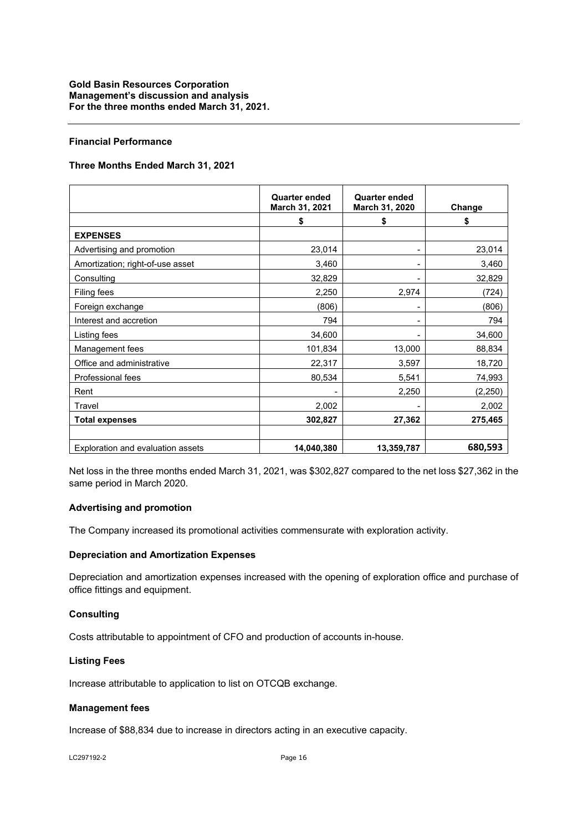#### **Financial Performance**

#### **Three Months Ended March 31, 2021**

|                                   | <b>Quarter ended</b><br>March 31, 2021 | <b>Quarter ended</b><br>March 31, 2020 | Change   |
|-----------------------------------|----------------------------------------|----------------------------------------|----------|
|                                   | \$                                     | \$                                     | \$       |
| <b>EXPENSES</b>                   |                                        |                                        |          |
| Advertising and promotion         | 23,014                                 |                                        | 23,014   |
| Amortization; right-of-use asset  | 3,460                                  |                                        | 3,460    |
| Consulting                        | 32,829                                 |                                        | 32,829   |
| <b>Filing fees</b>                | 2,250                                  | 2,974                                  | (724)    |
| Foreign exchange                  | (806)                                  |                                        | (806)    |
| Interest and accretion            | 794                                    |                                        | 794      |
| Listing fees                      | 34,600                                 |                                        | 34,600   |
| Management fees                   | 101,834                                | 13,000                                 | 88,834   |
| Office and administrative         | 22,317                                 | 3,597                                  | 18,720   |
| Professional fees                 | 80,534                                 | 5,541                                  | 74,993   |
| Rent                              |                                        | 2,250                                  | (2, 250) |
| Travel                            | 2,002                                  |                                        | 2,002    |
| <b>Total expenses</b>             | 302,827                                | 27,362                                 | 275,465  |
| Exploration and evaluation assets | 14,040,380                             | 13,359,787                             | 680,593  |

Net loss in the three months ended March 31, 2021, was \$302,827 compared to the net loss \$27,362 in the same period in March 2020.

### **Advertising and promotion**

The Company increased its promotional activities commensurate with exploration activity.

#### **Depreciation and Amortization Expenses**

Depreciation and amortization expenses increased with the opening of exploration office and purchase of office fittings and equipment.

#### **Consulting**

Costs attributable to appointment of CFO and production of accounts in-house.

#### **Listing Fees**

Increase attributable to application to list on OTCQB exchange.

#### **Management fees**

Increase of \$88,834 due to increase in directors acting in an executive capacity.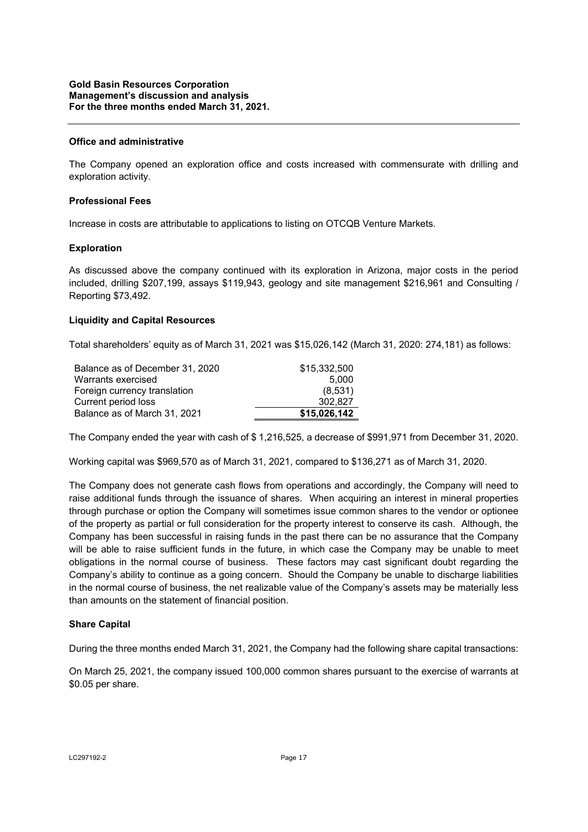#### **Office and administrative**

The Company opened an exploration office and costs increased with commensurate with drilling and exploration activity.

#### **Professional Fees**

Increase in costs are attributable to applications to listing on OTCQB Venture Markets.

#### **Exploration**

As discussed above the company continued with its exploration in Arizona, major costs in the period included, drilling \$207,199, assays \$119,943, geology and site management \$216,961 and Consulting / Reporting \$73,492.

#### **Liquidity and Capital Resources**

Total shareholders' equity as of March 31, 2021 was \$15,026,142 (March 31, 2020: 274,181) as follows:

| Balance as of December 31, 2020 | \$15,332,500 |
|---------------------------------|--------------|
| Warrants exercised              | 5.000        |
| Foreign currency translation    | (8,531)      |
| Current period loss             | 302.827      |
| Balance as of March 31, 2021    | \$15,026,142 |

The Company ended the year with cash of \$ 1,216,525, a decrease of \$991,971 from December 31, 2020.

Working capital was \$969,570 as of March 31, 2021, compared to \$136,271 as of March 31, 2020.

The Company does not generate cash flows from operations and accordingly, the Company will need to raise additional funds through the issuance of shares. When acquiring an interest in mineral properties through purchase or option the Company will sometimes issue common shares to the vendor or optionee of the property as partial or full consideration for the property interest to conserve its cash. Although, the Company has been successful in raising funds in the past there can be no assurance that the Company will be able to raise sufficient funds in the future, in which case the Company may be unable to meet obligations in the normal course of business. These factors may cast significant doubt regarding the Company's ability to continue as a going concern. Should the Company be unable to discharge liabilities in the normal course of business, the net realizable value of the Company's assets may be materially less than amounts on the statement of financial position.

#### **Share Capital**

During the three months ended March 31, 2021, the Company had the following share capital transactions:

On March 25, 2021, the company issued 100,000 common shares pursuant to the exercise of warrants at \$0.05 per share.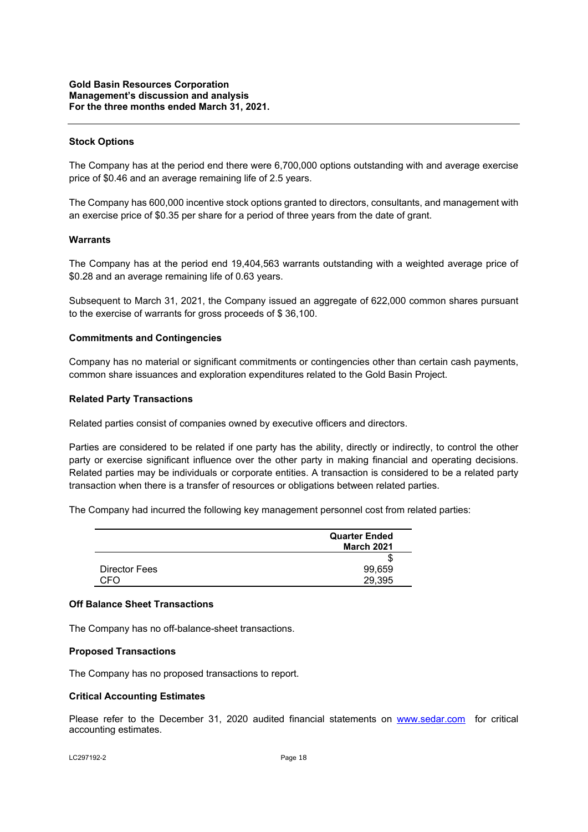#### **Stock Options**

The Company has at the period end there were 6,700,000 options outstanding with and average exercise price of \$0.46 and an average remaining life of 2.5 years.

The Company has 600,000 incentive stock options granted to directors, consultants, and management with an exercise price of \$0.35 per share for a period of three years from the date of grant.

#### **Warrants**

The Company has at the period end 19,404,563 warrants outstanding with a weighted average price of \$0.28 and an average remaining life of 0.63 years.

Subsequent to March 31, 2021, the Company issued an aggregate of 622,000 common shares pursuant to the exercise of warrants for gross proceeds of \$ 36,100.

#### **Commitments and Contingencies**

Company has no material or significant commitments or contingencies other than certain cash payments, common share issuances and exploration expenditures related to the Gold Basin Project.

#### **Related Party Transactions**

Related parties consist of companies owned by executive officers and directors.

Parties are considered to be related if one party has the ability, directly or indirectly, to control the other party or exercise significant influence over the other party in making financial and operating decisions. Related parties may be individuals or corporate entities. A transaction is considered to be a related party transaction when there is a transfer of resources or obligations between related parties.

The Company had incurred the following key management personnel cost from related parties:

|               | <b>Quarter Ended</b><br><b>March 2021</b> |
|---------------|-------------------------------------------|
|               | S                                         |
| Director Fees | 99,659                                    |
| CEO           | 29,395                                    |

## **Off Balance Sheet Transactions**

The Company has no off-balance-sheet transactions.

#### **Proposed Transactions**

The Company has no proposed transactions to report.

#### **Critical Accounting Estimates**

Please refer to the December 31, 2020 audited financial statements on www.sedar.com for critical accounting estimates.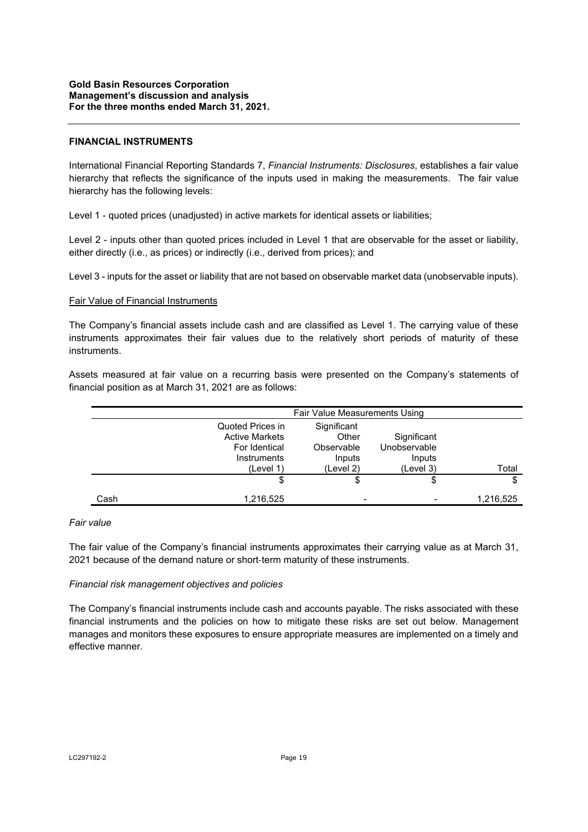#### **FINANCIAL INSTRUMENTS**

International Financial Reporting Standards 7, *Financial Instruments: Disclosures*, establishes a fair value hierarchy that reflects the significance of the inputs used in making the measurements. The fair value hierarchy has the following levels:

Level 1 - quoted prices (unadjusted) in active markets for identical assets or liabilities;

Level 2 - inputs other than quoted prices included in Level 1 that are observable for the asset or liability, either directly (i.e., as prices) or indirectly (i.e., derived from prices); and

Level 3 - inputs for the asset or liability that are not based on observable market data (unobservable inputs).

#### Fair Value of Financial Instruments

The Company's financial assets include cash and are classified as Level 1. The carrying value of these instruments approximates their fair values due to the relatively short periods of maturity of these instruments.

Assets measured at fair value on a recurring basis were presented on the Company's statements of financial position as at March 31, 2021 are as follows:

|      | Fair Value Measurements Using                                                          |                                                           |                                                    |           |
|------|----------------------------------------------------------------------------------------|-----------------------------------------------------------|----------------------------------------------------|-----------|
|      | Quoted Prices in<br><b>Active Markets</b><br>For Identical<br>Instruments<br>(Level 1) | Significant<br>Other<br>Observable<br>Inputs<br>(Level 2) | Significant<br>Unobservable<br>Inputs<br>(Level 3) | Total     |
|      | \$                                                                                     | \$                                                        | \$                                                 | \$        |
| Cash | 1,216,525                                                                              |                                                           |                                                    | 1,216,525 |

#### *Fair value*

The fair value of the Company's financial instruments approximates their carrying value as at March 31, 2021 because of the demand nature or short-term maturity of these instruments.

#### *Financial risk management objectives and policies*

The Company's financial instruments include cash and accounts payable. The risks associated with these financial instruments and the policies on how to mitigate these risks are set out below. Management manages and monitors these exposures to ensure appropriate measures are implemented on a timely and effective manner.